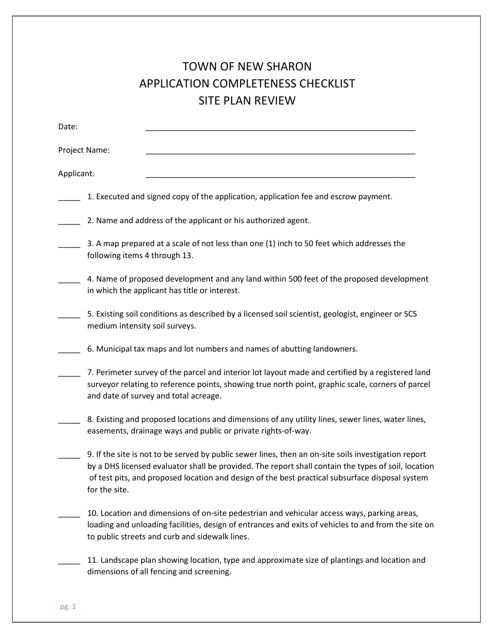## TOWN OF NEW SHARON APPLICATION COMPLETENESS CHECKLIST SITE PLAN REVIEW

| Date:         |                                                                                                                                                                                                                                                                                                                                 |
|---------------|---------------------------------------------------------------------------------------------------------------------------------------------------------------------------------------------------------------------------------------------------------------------------------------------------------------------------------|
| Project Name: |                                                                                                                                                                                                                                                                                                                                 |
| Applicant:    |                                                                                                                                                                                                                                                                                                                                 |
|               | 1. Executed and signed copy of the application, application fee and escrow payment.                                                                                                                                                                                                                                             |
|               | 2. Name and address of the applicant or his authorized agent.                                                                                                                                                                                                                                                                   |
|               | 3. A map prepared at a scale of not less than one (1) inch to 50 feet which addresses the<br>following items 4 through 13.                                                                                                                                                                                                      |
|               | 4. Name of proposed development and any land within 500 feet of the proposed development<br>in which the applicant has title or interest.                                                                                                                                                                                       |
|               | 5. Existing soil conditions as described by a licensed soil scientist, geologist, engineer or SCS<br>medium intensity soil surveys.                                                                                                                                                                                             |
|               | 6. Municipal tax maps and lot numbers and names of abutting landowners.                                                                                                                                                                                                                                                         |
|               | 7. Perimeter survey of the parcel and interior lot layout made and certified by a registered land<br>surveyor relating to reference points, showing true north point, graphic scale, corners of parcel<br>and date of survey and total acreage.                                                                                 |
|               | 8. Existing and proposed locations and dimensions of any utility lines, sewer lines, water lines,<br>easements, drainage ways and public or private rights-of-way.                                                                                                                                                              |
|               | 9. If the site is not to be served by public sewer lines, then an on-site soils investigation report<br>by a DHS licensed evaluator shall be provided. The report shall contain the types of soil, location<br>of test pits, and proposed location and design of the best practical subsurface disposal system<br>for the site. |
|               | 10. Location and dimensions of on-site pedestrian and vehicular access ways, parking areas,<br>loading and unloading facilities, design of entrances and exits of vehicles to and from the site on<br>to public streets and curb and sidewalk lines.                                                                            |
|               | 11. Landscape plan showing location, type and approximate size of plantings and location and<br>dimensions of all fencing and screening.                                                                                                                                                                                        |